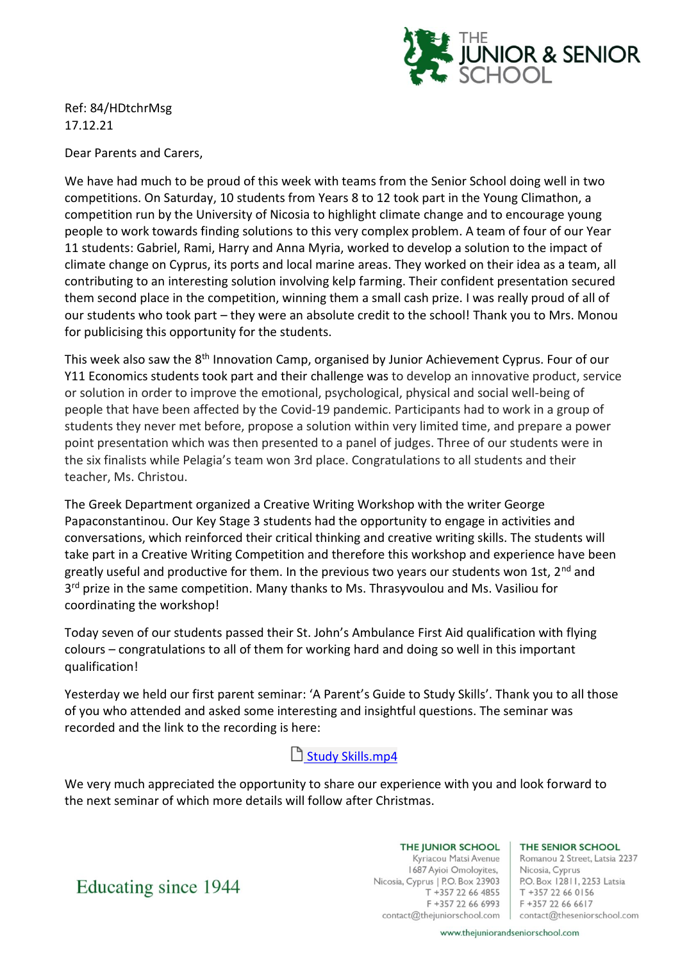

Ref: 84/HDtchrMsg 17.12.21

Dear Parents and Carers,

We have had much to be proud of this week with teams from the Senior School doing well in two competitions. On Saturday, 10 students from Years 8 to 12 took part in the Young Climathon, a competition run by the University of Nicosia to highlight climate change and to encourage young people to work towards finding solutions to this very complex problem. A team of four of our Year 11 students: Gabriel, Rami, Harry and Anna Myria, worked to develop a solution to the impact of climate change on Cyprus, its ports and local marine areas. They worked on their idea as a team, all contributing to an interesting solution involving kelp farming. Their confident presentation secured them second place in the competition, winning them a small cash prize. I was really proud of all of our students who took part – they were an absolute credit to the school! Thank you to Mrs. Monou for publicising this opportunity for the students.

This week also saw the 8<sup>th</sup> Innovation Camp, organised by Junior Achievement Cyprus. Four of our Y11 Economics students took part and their challenge was to develop an innovative product, service or solution in order to improve the emotional, psychological, physical and social well-being of people that have been affected by the Covid-19 pandemic. Participants had to work in a group of students they never met before, propose a solution within very limited time, and prepare a power point presentation which was then presented to a panel of judges. Three of our students were in the six finalists while Pelagia's team won 3rd place. Congratulations to all students and their teacher, Ms. Christou.

The Greek Department organized a Creative Writing Workshop with the writer George Papaconstantinou. Our Key Stage 3 students had the opportunity to engage in activities and conversations, which reinforced their critical thinking and creative writing skills. The students will take part in a Creative Writing Competition and therefore this workshop and experience have been greatly useful and productive for them. In the previous two years our students won 1st, 2<sup>nd</sup> and 3<sup>rd</sup> prize in the same competition. Many thanks to Ms. Thrasyvoulou and Ms. Vasiliou for coordinating the workshop!

Today seven of our students passed their St. John's Ambulance First Aid qualification with flying colours – congratulations to all of them for working hard and doing so well in this important qualification!

Yesterday we held our first parent seminar: 'A Parent's Guide to Study Skills'. Thank you to all those of you who attended and asked some interesting and insightful questions. The seminar was recorded and the link to the recording is here:

[Study Skills.mp4](https://thejuniorschool-my.sharepoint.com/:v:/g/personal/nick_theseniorschool_com/Ee50ZaI99TRKmc-HW9CxCssB1cHv6BJu6qcriFhzUZWR6A?e=PU2th8)

We very much appreciated the opportunity to share our experience with you and look forward to the next seminar of which more details will follow after Christmas.

> THE JUNIOR SCHOOL Kyriacou Matsi Avenue 1687 Ayioi Omoloyites, Nicosia, Cyprus | P.O. Box 23903 T +357 22 66 4855 F +357 22 66 6993

THE SENIOR SCHOOL

Romanou 2 Street, Latsia 2237 Nicosia, Cyprus P.O. Box 12811, 2253 Latsia T +357 22 66 0156 F +357 22 66 6617 contact@thejuniorschool.com | contact@theseniorschool.com

Educating since 1944